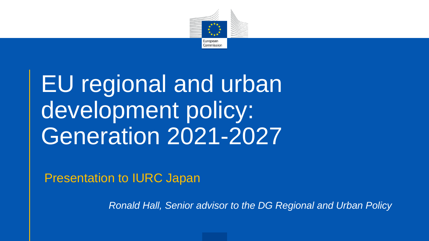

# EU regional and urban development policy: Generation 2021-2027

Presentation to IURC Japan

*Ronald Hall, Senior advisor to the DG Regional and Urban Policy*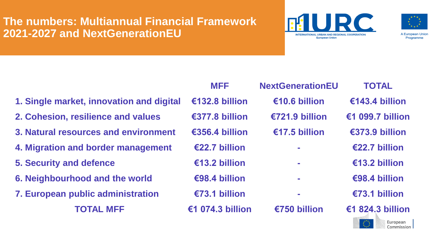### **The numbers: Multiannual Financial Framework 2021-2027 and NextGenerationEU**





**A European Union** Programme

- **1. Single market, innovation and digital €132.8 billion €10.6 billion €143.4 billion**
- **2. Cohesion, resilience and values €377.8 billion €721.9 billion €1 099.7 billion**
- **3. Natural resources and environment €356.4 billion €17.5 billion €373.9 billion**
- **4. Migration and border management €22.7 billion - €22.7 billion**
- **5. Security and defence €13.2 billion - €13.2 billion**
- **6. Neighbourhood and the world €98.4 billion - €98.4 billion**
- **7. European public administration €73.1 billion - €73.1 billion**

**MFF NextGenerationEU TOTAL**

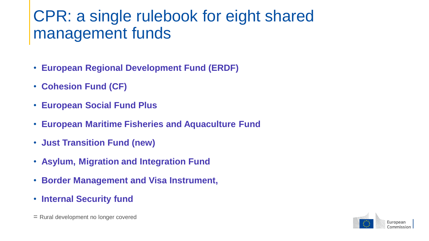### CPR: a single rulebook for eight shared management funds

- **European Regional Development Fund (ERDF)**
- **Cohesion Fund (CF)**
- **European Social Fund Plus**
- **European Maritime Fisheries and Aquaculture Fund**
- **Just Transition Fund (new)**
- **Asylum, Migration and Integration Fund**
- **Border Management and Visa Instrument,**
- **Internal Security fund**
- = Rural development no longer covered

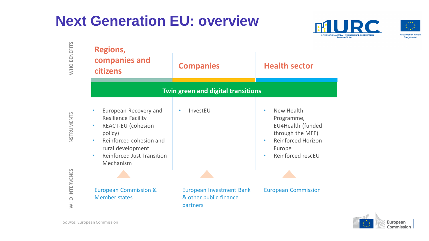### **Next Generation EU: overview**





A European Unior Programme

| <b>Regions,</b><br>companies and<br><b>citizens</b>                                                                                                                                                                           | <b>Companies</b>                                                      | <b>Health sector</b>                                                                                                          |
|-------------------------------------------------------------------------------------------------------------------------------------------------------------------------------------------------------------------------------|-----------------------------------------------------------------------|-------------------------------------------------------------------------------------------------------------------------------|
| Twin green and digital transitions                                                                                                                                                                                            |                                                                       |                                                                                                                               |
| European Recovery and<br><b>Resilience Facility</b><br>REACT-EU (cohesion<br>$\bullet$<br>policy)<br>Reinforced cohesion and<br>$\bullet$<br>rural development<br><b>Reinforced Just Transition</b><br>$\bullet$<br>Mechanism | InvestEU                                                              | New Health<br>Programme,<br>EU4Health (funded<br>through the MFF)<br><b>Reinforced Horizon</b><br>Europe<br>Reinforced rescEU |
|                                                                                                                                                                                                                               |                                                                       |                                                                                                                               |
| <b>European Commission &amp;</b><br><b>Member states</b>                                                                                                                                                                      | <b>European Investment Bank</b><br>& other public finance<br>partners | <b>European Commission</b>                                                                                                    |



*Source*: European Commission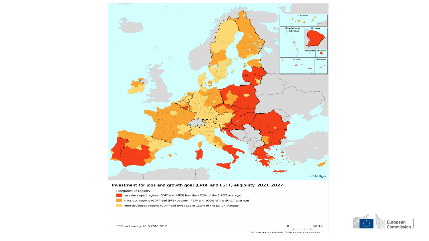

#### Investment for jobs and growth goal (ERDF and ESF+) eligibility, 2021-2027

Categories of regions

- Less developed regions (GDP/head (PPS) less than 75% of the EU-27 average)
- Transition regions (GDP/head (PPS) between 75% and 100% of the EU-27 average)
- More developed regions (GDP/head (PPS) above  $100\%$  of the EU-27 average)



GDP/head: average 2015-2016-2017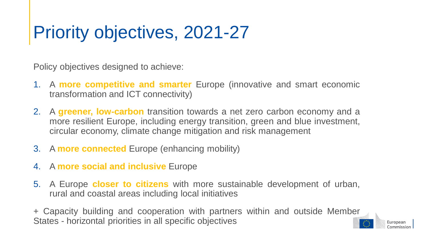# Priority objectives, 2021-27

Policy objectives designed to achieve:

- 1. A **more competitive and smarter** Europe (innovative and smart economic transformation and ICT connectivity)
- 2. A **greener, low-carbon** transition towards a net zero carbon economy and a more resilient Europe, including energy transition, green and blue investment, circular economy, climate change mitigation and risk management
- 3. A **more connected** Europe (enhancing mobility)
- 4. A **more social and inclusive** Europe
- 5. A Europe **closer to citizens** with more sustainable development of urban, rural and coastal areas including local initiatives

+ Capacity building and cooperation with partners within and outside Member States - horizontal priorities in all specific objectives

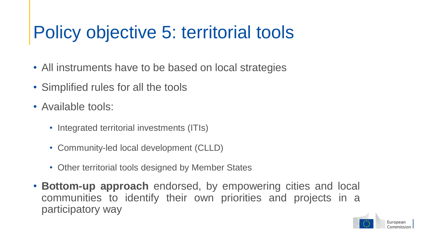# Policy objective 5: territorial tools

- All instruments have to be based on local strategies
- Simplified rules for all the tools
- Available tools:
	- Integrated territorial investments (ITIs)
	- Community-led local development (CLLD)
	- Other territorial tools designed by Member States
- **Bottom-up approach** endorsed, by empowering cities and local communities to identify their own priorities and projects in a participatory way

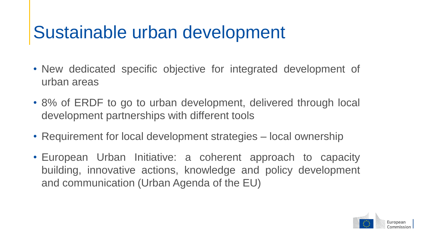## Sustainable urban development

- New dedicated specific objective for integrated development of urban areas
- 8% of ERDF to go to urban development, delivered through local development partnerships with different tools
- Requirement for local development strategies local ownership
- European Urban Initiative: a coherent approach to capacity building, innovative actions, knowledge and policy development and communication (Urban Agenda of the EU)

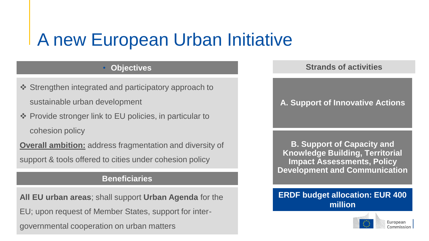## A new European Urban Initiative

### • **Objectives**

- ❖ Strengthen integrated and participatory approach to sustainable urban development
- ❖ Provide stronger link to EU policies, in particular to cohesion policy

**Overall ambition:** address fragmentation and diversity of support & tools offered to cities under cohesion policy

#### **Beneficiaries**

**All EU urban areas**; shall support **Urban Agenda** for the EU; upon request of Member States, support for intergovernmental cooperation on urban matters

#### **Strands of activities**

### **A. Support of Innovative Actions**

**B. Support of Capacity and Knowledge Building, Territorial Impact Assessments, Policy Development and Communication**

### **ERDF budget allocation: EUR 400 million**

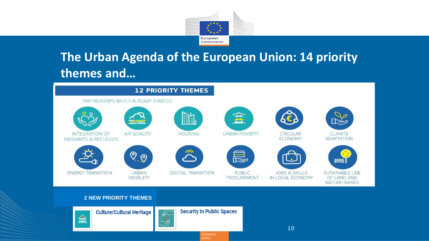

### **The Urban Agenda of the European Union: 14 priority themes and…**



#### **2 NEW PRIORITY THEMES**



**Culture/Cultural Heritage** 



**Security in Public Spaces** 



*Cohesion policy*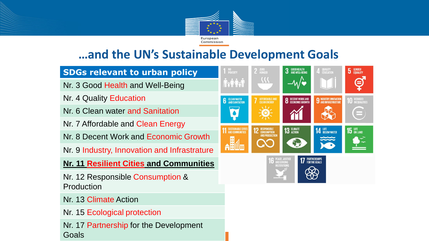

### **…and the UN's Sustainable Development Goals**



Nr. 15 Ecological protection

Nr. 17 Partnership for the Development Goals